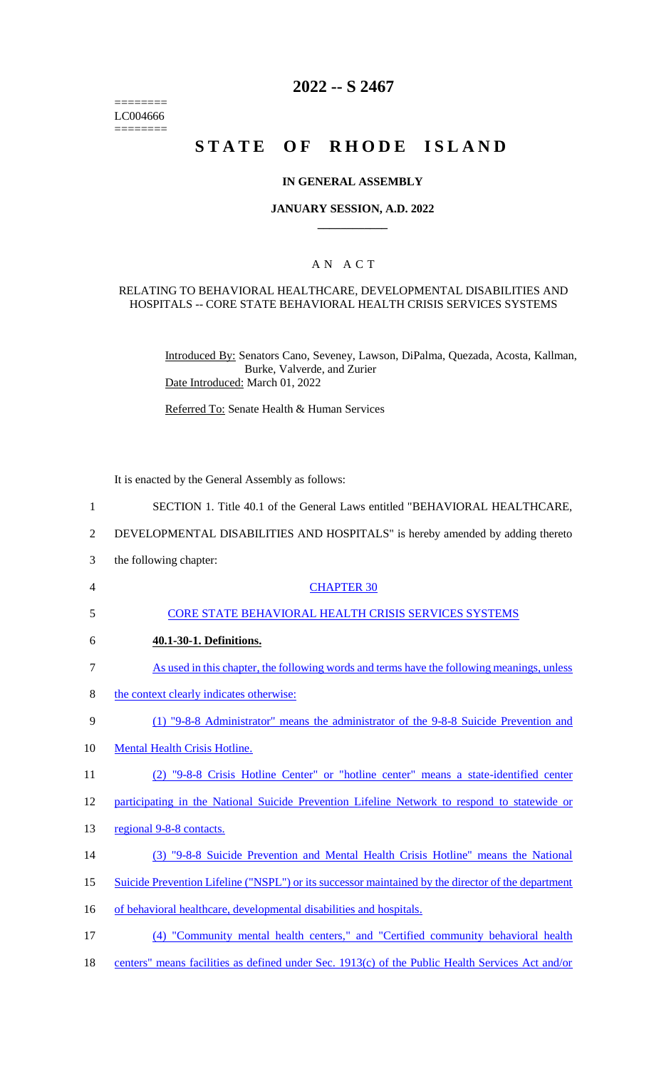======== LC004666 ========

# **2022 -- S 2467**

# STATE OF RHODE ISLAND

### **IN GENERAL ASSEMBLY**

### **JANUARY SESSION, A.D. 2022 \_\_\_\_\_\_\_\_\_\_\_\_**

### A N A C T

### RELATING TO BEHAVIORAL HEALTHCARE, DEVELOPMENTAL DISABILITIES AND HOSPITALS -- CORE STATE BEHAVIORAL HEALTH CRISIS SERVICES SYSTEMS

Introduced By: Senators Cano, Seveney, Lawson, DiPalma, Quezada, Acosta, Kallman, Burke, Valverde, and Zurier Date Introduced: March 01, 2022

Referred To: Senate Health & Human Services

It is enacted by the General Assembly as follows:

- 1 SECTION 1. Title 40.1 of the General Laws entitled "BEHAVIORAL HEALTHCARE,
- 2 DEVELOPMENTAL DISABILITIES AND HOSPITALS" is hereby amended by adding thereto
- 3 the following chapter:
- 4 CHAPTER 30
- 5 CORE STATE BEHAVIORAL HEALTH CRISIS SERVICES SYSTEMS
- 6 **40.1-30-1. Definitions.**
- 7 As used in this chapter, the following words and terms have the following meanings, unless
- 8 the context clearly indicates otherwise:
- 9 (1) "9-8-8 Administrator" means the administrator of the 9-8-8 Suicide Prevention and
- 10 Mental Health Crisis Hotline.
- 11 (2) "9-8-8 Crisis Hotline Center" or "hotline center" means a state-identified center

12 participating in the National Suicide Prevention Lifeline Network to respond to statewide or

- 13 regional 9-8-8 contacts.
- 14 (3) "9-8-8 Suicide Prevention and Mental Health Crisis Hotline" means the National
- 15 Suicide Prevention Lifeline ("NSPL") or its successor maintained by the director of the department
- 16 of behavioral healthcare, developmental disabilities and hospitals.
- 17 (4) "Community mental health centers," and "Certified community behavioral health
- 18 centers" means facilities as defined under Sec. 1913(c) of the Public Health Services Act and/or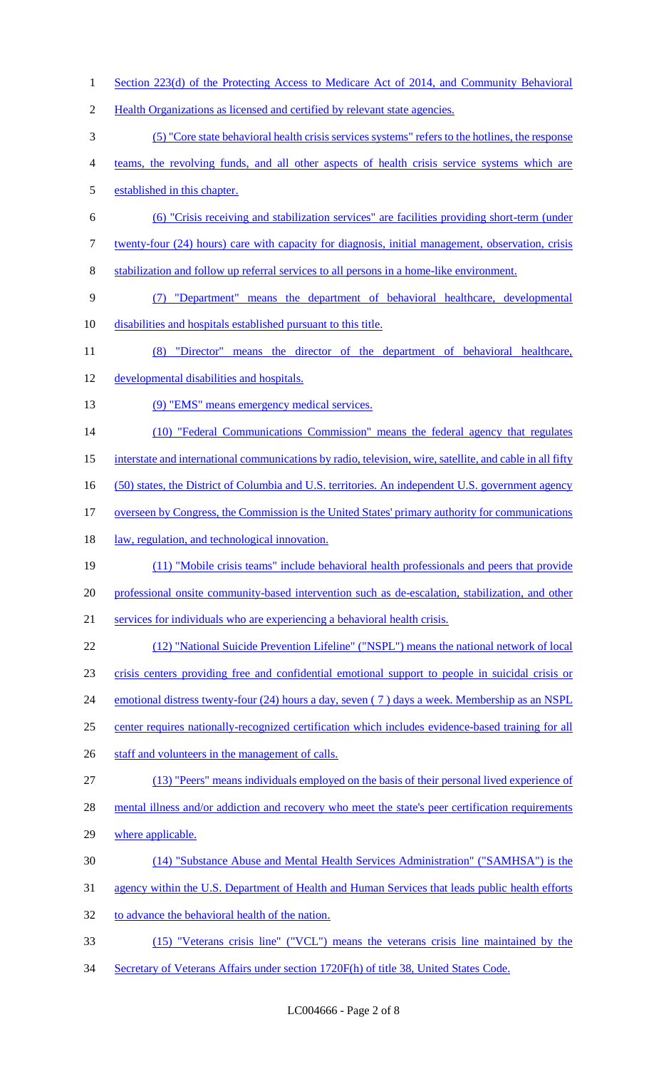(5) "Core state behavioral health crisis services systems" refers to the hotlines, the response teams, the revolving funds, and all other aspects of health crisis service systems which are established in this chapter. (6) "Crisis receiving and stabilization services" are facilities providing short-term (under twenty-four (24) hours) care with capacity for diagnosis, initial management, observation, crisis stabilization and follow up referral services to all persons in a home-like environment. (7) "Department" means the department of behavioral healthcare, developmental disabilities and hospitals established pursuant to this title. (8) "Director" means the director of the department of behavioral healthcare, developmental disabilities and hospitals.

1 Section 223(d) of the Protecting Access to Medicare Act of 2014, and Community Behavioral

2 Health Organizations as licensed and certified by relevant state agencies.

- 13 (9) "EMS" means emergency medical services.
- (10) "Federal Communications Commission" means the federal agency that regulates
- interstate and international communications by radio, television, wire, satellite, and cable in all fifty
- 16 (50) states, the District of Columbia and U.S. territories. An independent U.S. government agency
- 17 overseen by Congress, the Commission is the United States' primary authority for communications
- 18 law, regulation, and technological innovation.
- (11) "Mobile crisis teams" include behavioral health professionals and peers that provide professional onsite community-based intervention such as de-escalation, stabilization, and other services for individuals who are experiencing a behavioral health crisis.
- (12) "National Suicide Prevention Lifeline" ("NSPL") means the national network of local
- crisis centers providing free and confidential emotional support to people in suicidal crisis or
- 24 emotional distress twenty-four (24) hours a day, seven (7) days a week. Membership as an NSPL
- center requires nationally-recognized certification which includes evidence-based training for all
- 26 staff and volunteers in the management of calls.
- (13) "Peers" means individuals employed on the basis of their personal lived experience of
- 28 mental illness and/or addiction and recovery who meet the state's peer certification requirements
- where applicable.
- (14) "Substance Abuse and Mental Health Services Administration" ("SAMHSA") is the
- agency within the U.S. Department of Health and Human Services that leads public health efforts
- 32 to advance the behavioral health of the nation.
- (15) "Veterans crisis line" ("VCL") means the veterans crisis line maintained by the
- Secretary of Veterans Affairs under section 1720F(h) of title 38, United States Code.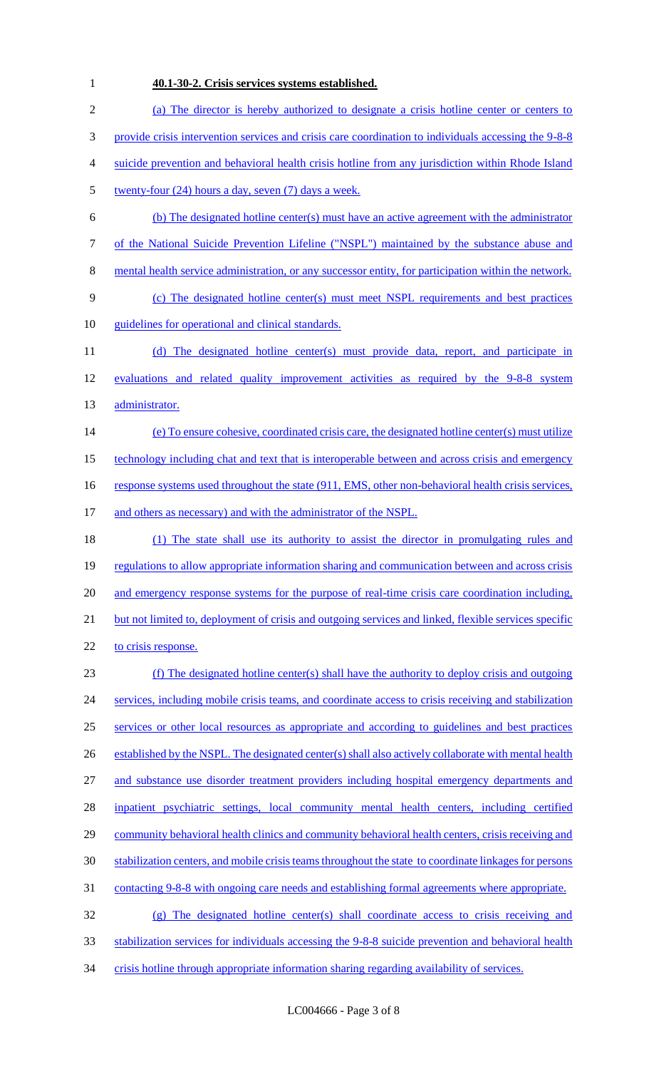# 1 **40.1-30-2. Crisis services systems established.**

| $\overline{2}$ | (a) The director is hereby authorized to designate a crisis hotline center or centers to               |
|----------------|--------------------------------------------------------------------------------------------------------|
| 3              | provide crisis intervention services and crisis care coordination to individuals accessing the 9-8-8   |
| 4              | suicide prevention and behavioral health crisis hotline from any jurisdiction within Rhode Island      |
| 5              | twenty-four $(24)$ hours a day, seven $(7)$ days a week.                                               |
| 6              | (b) The designated hotline center(s) must have an active agreement with the administrator              |
| 7              | of the National Suicide Prevention Lifeline ("NSPL") maintained by the substance abuse and             |
| 8              | mental health service administration, or any successor entity, for participation within the network.   |
| 9              | (c) The designated hotline center(s) must meet NSPL requirements and best practices                    |
| 10             | guidelines for operational and clinical standards.                                                     |
| 11             | (d) The designated hotline center(s) must provide data, report, and participate in                     |
| 12             | evaluations and related quality improvement activities as required by the 9-8-8 system                 |
| 13             | administrator.                                                                                         |
| 14             | (e) To ensure cohesive, coordinated crisis care, the designated hotline center(s) must utilize         |
| 15             | technology including chat and text that is interoperable between and across crisis and emergency       |
| 16             | response systems used throughout the state (911, EMS, other non-behavioral health crisis services,     |
| 17             | and others as necessary) and with the administrator of the NSPL.                                       |
| 18             | (1) The state shall use its authority to assist the director in promulgating rules and                 |
| 19             | regulations to allow appropriate information sharing and communication between and across crisis       |
| 20             | and emergency response systems for the purpose of real-time crisis care coordination including,        |
| 21             | but not limited to, deployment of crisis and outgoing services and linked, flexible services specific  |
| 22             | to crisis response.                                                                                    |
| 23             | (f) The designated hotline center(s) shall have the authority to deploy crisis and outgoing            |
| 24             | services, including mobile crisis teams, and coordinate access to crisis receiving and stabilization   |
| 25             | services or other local resources as appropriate and according to guidelines and best practices        |
| 26             | established by the NSPL. The designated center(s) shall also actively collaborate with mental health   |
| 27             | and substance use disorder treatment providers including hospital emergency departments and            |
| 28             | inpatient psychiatric settings, local community mental health centers, including certified             |
| 29             | community behavioral health clinics and community behavioral health centers, crisis receiving and      |
| 30             | stabilization centers, and mobile crisis teams throughout the state to coordinate linkages for persons |
| 31             | <u>contacting 9-8-8 with ongoing care needs and establishing formal agreements where appropriate.</u>  |
| 32             | $(g)$ The designated hotline center(s) shall coordinate access to crisis receiving and                 |
| 33             | stabilization services for individuals accessing the 9-8-8 suicide prevention and behavioral health    |
| 34             | crisis hotline through appropriate information sharing regarding availability of services.             |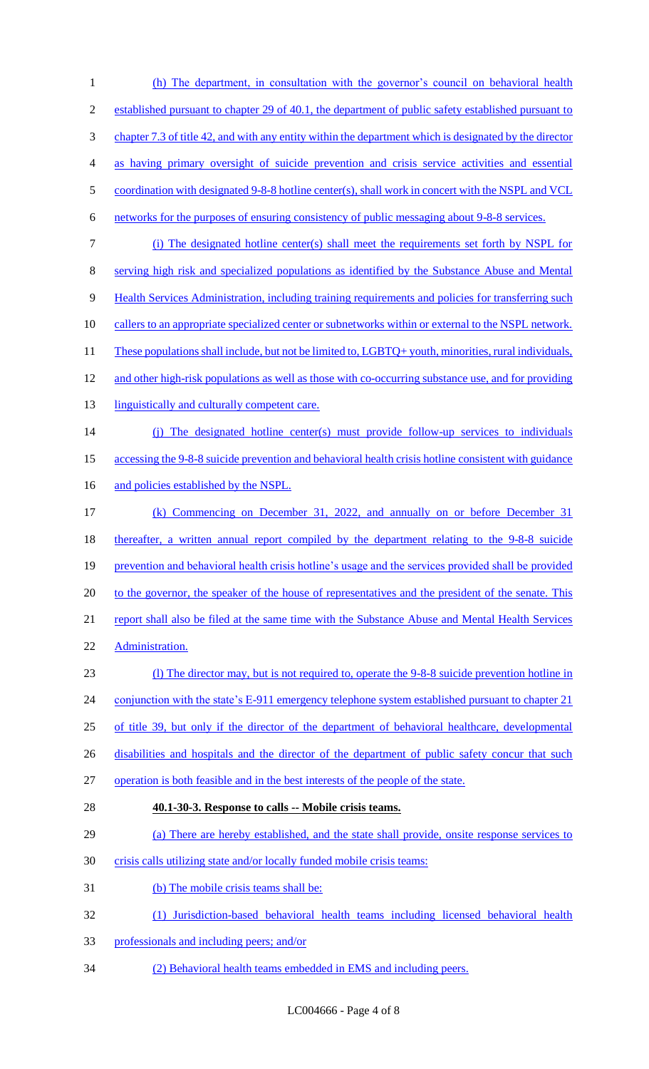(h) The department, in consultation with the governor's council on behavioral health 2 established pursuant to chapter 29 of 40.1, the department of public safety established pursuant to chapter 7.3 of title 42, and with any entity within the department which is designated by the director as having primary oversight of suicide prevention and crisis service activities and essential 5 coordination with designated 9-8-8 hotline center(s), shall work in concert with the NSPL and VCL networks for the purposes of ensuring consistency of public messaging about 9-8-8 services. (i) The designated hotline center(s) shall meet the requirements set forth by NSPL for serving high risk and specialized populations as identified by the Substance Abuse and Mental Health Services Administration, including training requirements and policies for transferring such 10 callers to an appropriate specialized center or subnetworks within or external to the NSPL network. 11 These populations shall include, but not be limited to, LGBTQ+ youth, minorities, rural individuals, 12 and other high-risk populations as well as those with co-occurring substance use, and for providing 13 linguistically and culturally competent care. (j) The designated hotline center(s) must provide follow-up services to individuals accessing the 9-8-8 suicide prevention and behavioral health crisis hotline consistent with guidance 16 and policies established by the NSPL. (k) Commencing on December 31, 2022, and annually on or before December 31 18 thereafter, a written annual report compiled by the department relating to the 9-8-8 suicide prevention and behavioral health crisis hotline's usage and the services provided shall be provided 20 to the governor, the speaker of the house of representatives and the president of the senate. This 21 report shall also be filed at the same time with the Substance Abuse and Mental Health Services Administration. (l) The director may, but is not required to, operate the 9-8-8 suicide prevention hotline in 24 conjunction with the state's E-911 emergency telephone system established pursuant to chapter 21 of title 39, but only if the director of the department of behavioral healthcare, developmental 26 disabilities and hospitals and the director of the department of public safety concur that such operation is both feasible and in the best interests of the people of the state. **40.1-30-3. Response to calls -- Mobile crisis teams.**  (a) There are hereby established, and the state shall provide, onsite response services to 30 crisis calls utilizing state and/or locally funded mobile crisis teams: (b) The mobile crisis teams shall be: (1) Jurisdiction-based behavioral health teams including licensed behavioral health professionals and including peers; and/or (2) Behavioral health teams embedded in EMS and including peers.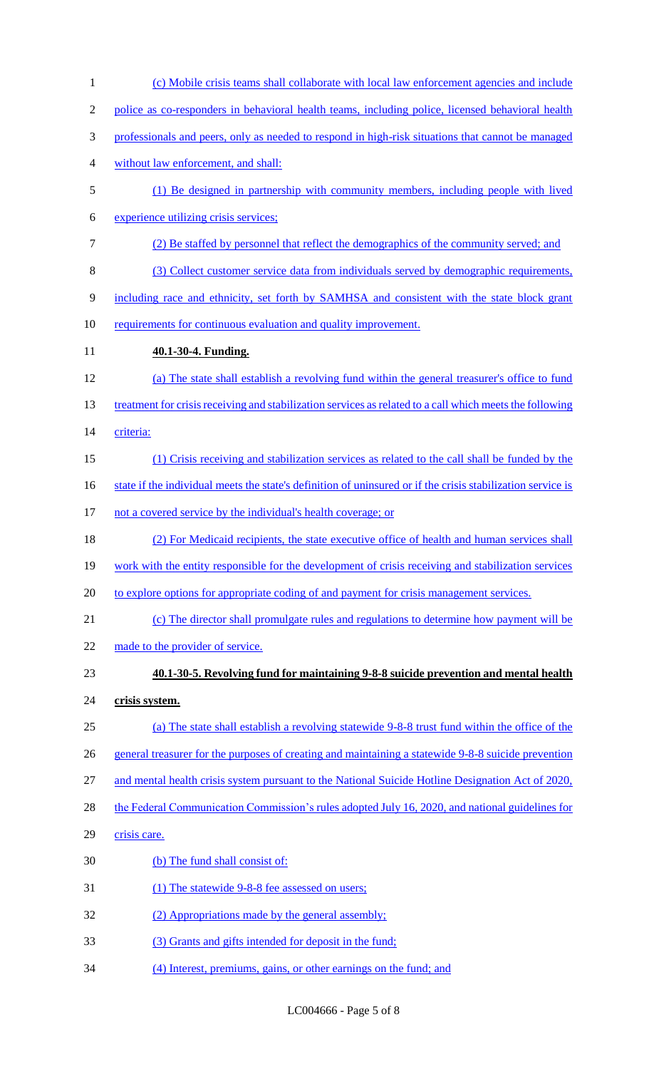| $\mathbf{1}$   | (c) Mobile crisis teams shall collaborate with local law enforcement agencies and include                   |
|----------------|-------------------------------------------------------------------------------------------------------------|
| $\overline{2}$ | police as co-responders in behavioral health teams, including police, licensed behavioral health            |
| 3              | professionals and peers, only as needed to respond in high-risk situations that cannot be managed           |
| 4              | without law enforcement, and shall:                                                                         |
| 5              | (1) Be designed in partnership with community members, including people with lived                          |
| 6              | experience utilizing crisis services;                                                                       |
| 7              | (2) Be staffed by personnel that reflect the demographics of the community served; and                      |
| 8              | (3) Collect customer service data from individuals served by demographic requirements,                      |
| 9              | including race and ethnicity, set forth by SAMHSA and consistent with the state block grant                 |
| 10             | requirements for continuous evaluation and quality improvement.                                             |
| 11             | 40.1-30-4. Funding.                                                                                         |
| 12             | (a) The state shall establish a revolving fund within the general treasurer's office to fund                |
| 13             | treatment for crisis receiving and stabilization services as related to a call which meets the following    |
| 14             | criteria:                                                                                                   |
| 15             | (1) Crisis receiving and stabilization services as related to the call shall be funded by the               |
| 16             | state if the individual meets the state's definition of uninsured or if the crisis stabilization service is |
| 17             | not a covered service by the individual's health coverage; or                                               |
| 18             | (2) For Medicaid recipients, the state executive office of health and human services shall                  |
| 19             | work with the entity responsible for the development of crisis receiving and stabilization services         |
| 20             | to explore options for appropriate coding of and payment for crisis management services.                    |
| 21             | (c) The director shall promulgate rules and regulations to determine how payment will be                    |
| 22             | made to the provider of service.                                                                            |
| 23             | 40.1-30-5. Revolving fund for maintaining 9-8-8 suicide prevention and mental health                        |
| 24             | crisis system.                                                                                              |
| 25             | (a) The state shall establish a revolving statewide 9-8-8 trust fund within the office of the               |
| 26             | general treasurer for the purposes of creating and maintaining a statewide 9-8-8 suicide prevention         |
| 27             | and mental health crisis system pursuant to the National Suicide Hotline Designation Act of 2020,           |
| 28             | the Federal Communication Commission's rules adopted July 16, 2020, and national guidelines for             |
| 29             | crisis care.                                                                                                |
| 30             | (b) The fund shall consist of:                                                                              |
| 31             | (1) The statewide 9-8-8 fee assessed on users;                                                              |
| 32             | (2) Appropriations made by the general assembly;                                                            |
| 33             | (3) Grants and gifts intended for deposit in the fund;                                                      |
| 34             | (4) Interest, premiums, gains, or other earnings on the fund; and                                           |

LC004666 - Page 5 of 8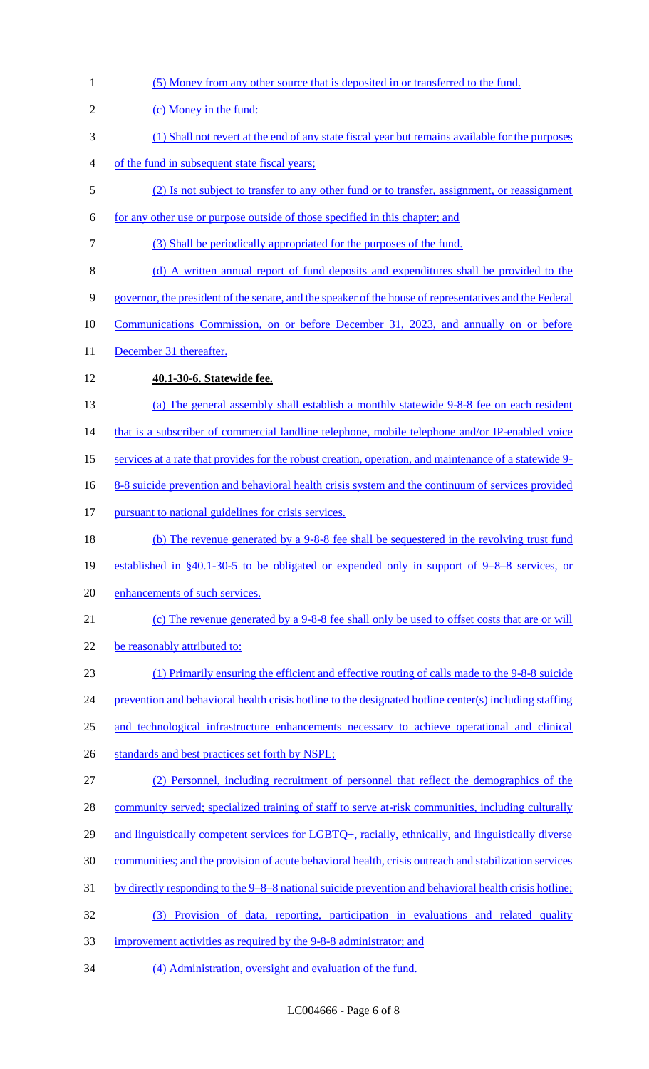| $\mathbf{1}$   | (5) Money from any other source that is deposited in or transferred to the fund.                         |
|----------------|----------------------------------------------------------------------------------------------------------|
| $\overline{2}$ | (c) Money in the fund:                                                                                   |
| 3              | (1) Shall not revert at the end of any state fiscal year but remains available for the purposes          |
| 4              | of the fund in subsequent state fiscal years;                                                            |
| 5              | (2) Is not subject to transfer to any other fund or to transfer, assignment, or reassignment             |
| 6              | for any other use or purpose outside of those specified in this chapter; and                             |
| 7              | (3) Shall be periodically appropriated for the purposes of the fund.                                     |
| 8              | (d) A written annual report of fund deposits and expenditures shall be provided to the                   |
| 9              | governor, the president of the senate, and the speaker of the house of representatives and the Federal   |
| 10             | <u>Communications Commission, on or before December 31, 2023, and annually on or before</u>              |
| 11             | December 31 thereafter.                                                                                  |
| 12             | 40.1-30-6. Statewide fee.                                                                                |
| 13             | (a) The general assembly shall establish a monthly statewide 9-8-8 fee on each resident                  |
| 14             | that is a subscriber of commercial landline telephone, mobile telephone and/or IP-enabled voice          |
| 15             | services at a rate that provides for the robust creation, operation, and maintenance of a statewide 9-   |
| 16             | <u>8-8 suicide prevention and behavioral health crisis system and the continuum of services provided</u> |
| 17             | pursuant to national guidelines for crisis services.                                                     |
| 18             | (b) The revenue generated by a 9-8-8 fee shall be sequestered in the revolving trust fund                |
| 19             | established in $\S40.1$ -30-5 to be obligated or expended only in support of 9–8–8 services, or          |
| 20             | enhancements of such services.                                                                           |
| 21             | (c) The revenue generated by a 9-8-8 fee shall only be used to offset costs that are or will             |
| 22             | be reasonably attributed to:                                                                             |
| 23             | (1) Primarily ensuring the efficient and effective routing of calls made to the 9-8-8 suicide            |
| 24             | prevention and behavioral health crisis hotline to the designated hotline center(s) including staffing   |
| 25             | and technological infrastructure enhancements necessary to achieve operational and clinical              |
| 26             | standards and best practices set forth by NSPL;                                                          |
| 27             | (2) Personnel, including recruitment of personnel that reflect the demographics of the                   |
| 28             | community served; specialized training of staff to serve at-risk communities, including culturally       |
| 29             | and linguistically competent services for LGBTQ+, racially, ethnically, and linguistically diverse       |
| 30             | communities; and the provision of acute behavioral health, crisis outreach and stabilization services    |
| 31             | by directly responding to the 9–8–8 national suicide prevention and behavioral health crisis hotline;    |
| 32             | (3) Provision of data, reporting, participation in evaluations and related quality                       |
| 33             | improvement activities as required by the 9-8-8 administrator; and                                       |
| 34             | (4) Administration, oversight and evaluation of the fund.                                                |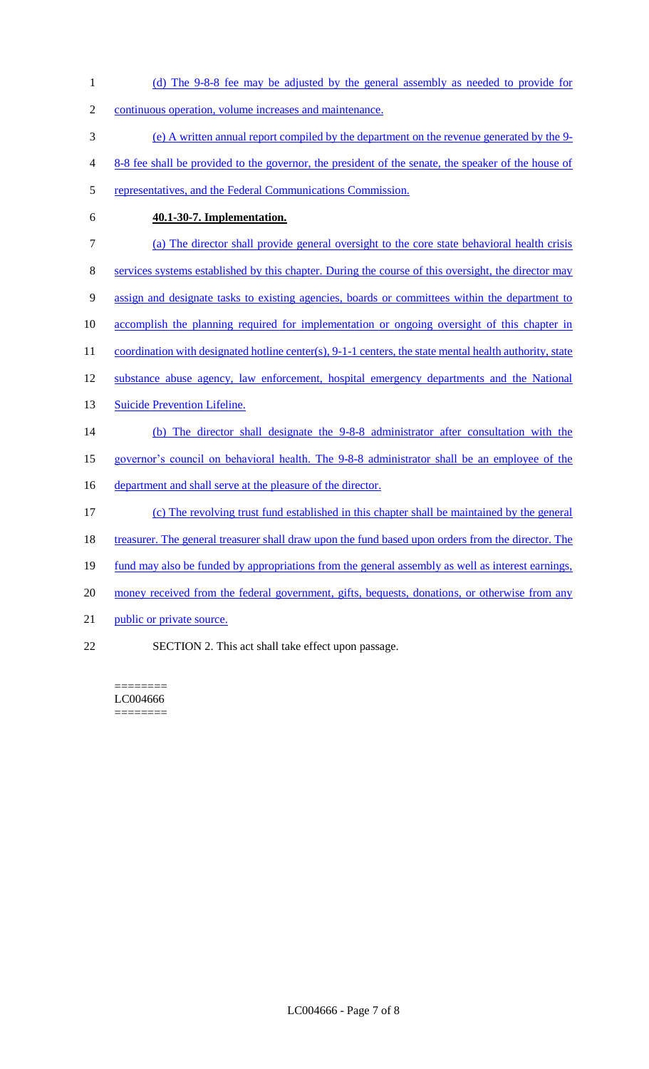| $\mathbf{1}$   | (d) The 9-8-8 fee may be adjusted by the general assembly as needed to provide for                        |
|----------------|-----------------------------------------------------------------------------------------------------------|
| $\overline{2}$ | continuous operation, volume increases and maintenance.                                                   |
| 3              | (e) A written annual report compiled by the department on the revenue generated by the 9-                 |
| 4              | 8-8 fee shall be provided to the governor, the president of the senate, the speaker of the house of       |
| 5              | representatives, and the Federal Communications Commission.                                               |
| 6              | 40.1-30-7. Implementation.                                                                                |
| 7              | (a) The director shall provide general oversight to the core state behavioral health crisis               |
| 8              | services systems established by this chapter. During the course of this oversight, the director may       |
| 9              | assign and designate tasks to existing agencies, boards or committees within the department to            |
| 10             | accomplish the planning required for implementation or ongoing oversight of this chapter in               |
| 11             | coordination with designated hotline center(s), 9-1-1 centers, the state mental health authority, state   |
| 12             | substance abuse agency, law enforcement, hospital emergency departments and the National                  |
| 13             | <b>Suicide Prevention Lifeline.</b>                                                                       |
| 14             | (b) The director shall designate the 9-8-8 administrator after consultation with the                      |
| 15             | governor's council on behavioral health. The 9-8-8 administrator shall be an employee of the              |
| 16             | department and shall serve at the pleasure of the director.                                               |
| 17             | (c) The revolving trust fund established in this chapter shall be maintained by the general               |
| 18             | <u>treasurer. The general treasurer shall draw upon the fund based upon orders from the director. The</u> |
| 19             | fund may also be funded by appropriations from the general assembly as well as interest earnings,         |
| 20             | money received from the federal government, gifts, bequests, donations, or otherwise from any             |
| 21             | public or private source.                                                                                 |

22 SECTION 2. This act shall take effect upon passage.

 $=$ LC004666 ========